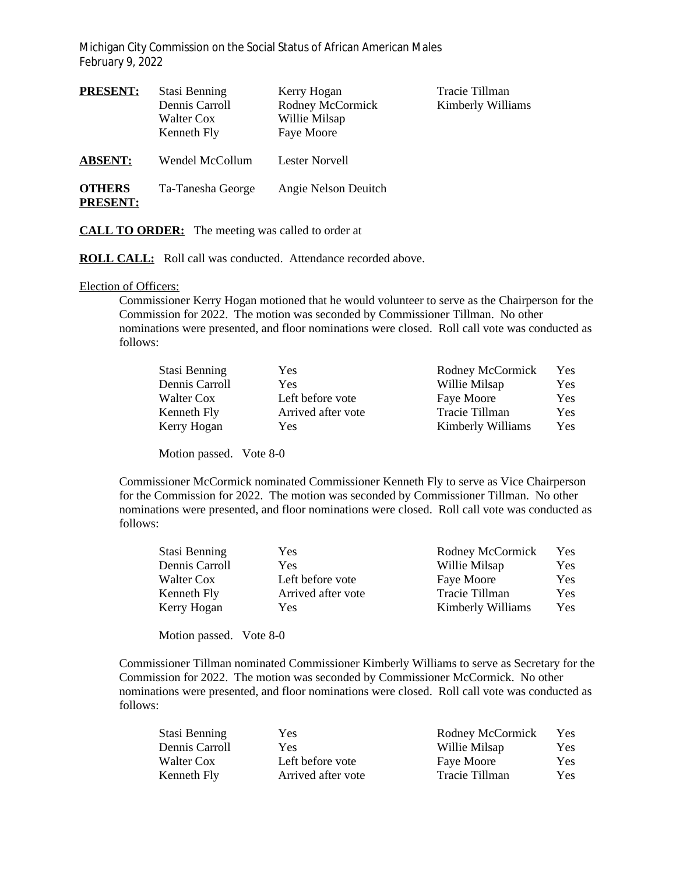Michigan City Commission on the Social Status of African American Males February 9, 2022

| <b>PRESENT:</b>                  | Stasi Benning<br>Dennis Carroll<br>Walter Cox<br>Kenneth Fly | Kerry Hogan<br>Rodney McCormick<br>Willie Milsap<br>Faye Moore | Tracie Tillman<br>Kimberly Williams |
|----------------------------------|--------------------------------------------------------------|----------------------------------------------------------------|-------------------------------------|
| <b>ABSENT:</b>                   | Wendel McCollum                                              | Lester Norvell                                                 |                                     |
| <b>OTHERS</b><br><b>PRESENT:</b> | Ta-Tanesha George                                            | Angie Nelson Deuitch                                           |                                     |

**CALL TO ORDER:** The meeting was called to order at

**ROLL CALL:** Roll call was conducted. Attendance recorded above.

## Election of Officers:

Commissioner Kerry Hogan motioned that he would volunteer to serve as the Chairperson for the Commission for 2022. The motion was seconded by Commissioner Tillman. No other nominations were presented, and floor nominations were closed. Roll call vote was conducted as follows:

| Stasi Benning  | Yes.               | Rodney McCormick  | <b>Yes</b> |
|----------------|--------------------|-------------------|------------|
| Dennis Carroll | Yes                | Willie Milsap     | Yes        |
| Walter Cox     | Left before vote   | Faye Moore        | <b>Yes</b> |
| Kenneth Fly    | Arrived after vote | Tracie Tillman    | <b>Yes</b> |
| Kerry Hogan    | Yes                | Kimberly Williams | Yes        |

Motion passed. Vote 8-0

Commissioner McCormick nominated Commissioner Kenneth Fly to serve as Vice Chairperson for the Commission for 2022. The motion was seconded by Commissioner Tillman. No other nominations were presented, and floor nominations were closed. Roll call vote was conducted as follows:

| Stasi Benning  | Yes.               | Rodney McCormick  | Yes        |
|----------------|--------------------|-------------------|------------|
| Dennis Carroll | Yes.               | Willie Milsap     | Yes        |
| Walter Cox     | Left before vote   | Faye Moore        | Yes        |
| Kenneth Fly    | Arrived after vote | Tracie Tillman    | <b>Yes</b> |
| Kerry Hogan    | Yes                | Kimberly Williams | Yes        |

Motion passed. Vote 8-0

Commissioner Tillman nominated Commissioner Kimberly Williams to serve as Secretary for the Commission for 2022. The motion was seconded by Commissioner McCormick. No other nominations were presented, and floor nominations were closed. Roll call vote was conducted as follows:

| Stasi Benning  | Yes.               | Rodney McCormick | Yes. |
|----------------|--------------------|------------------|------|
| Dennis Carroll | Yes.               | Willie Milsap    | Yes. |
| Walter Cox     | Left before vote   | Faye Moore       | Yes. |
| Kenneth Fly    | Arrived after vote | Tracie Tillman   | Yes. |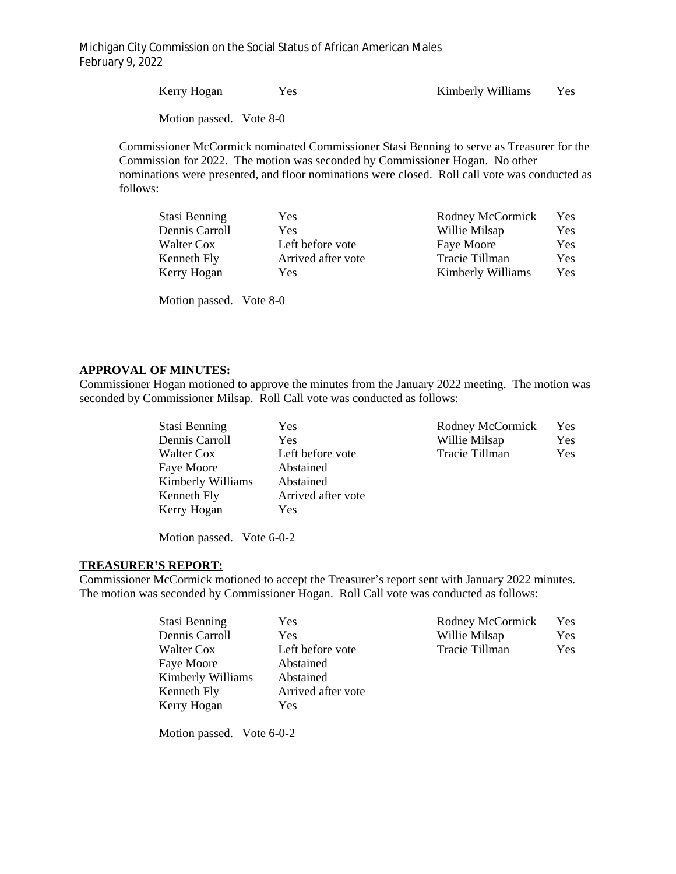Michigan City Commission on the Social Status of African American Males February 9, 2022

| Kerry Hogan             | <b>Yes</b> | Kimberly Williams | Yes- |
|-------------------------|------------|-------------------|------|
| Motion passed. Vote 8-0 |            |                   |      |

Commissioner McCormick nominated Commissioner Stasi Benning to serve as Treasurer for the Commission for 2022. The motion was seconded by Commissioner Hogan. No other nominations were presented, and floor nominations were closed. Roll call vote was conducted as follows:

| Yes.               | Rodney McCormick  | Yes        |
|--------------------|-------------------|------------|
| Yes.               | Willie Milsap     | Yes        |
| Left before vote   | Faye Moore        | <b>Yes</b> |
| Arrived after vote | Tracie Tillman    | Yes.       |
| Yes                | Kimberly Williams | <b>Yes</b> |
|                    |                   |            |

Motion passed. Vote 8-0

## **APPROVAL OF MINUTES:**

Commissioner Hogan motioned to approve the minutes from the January 2022 meeting. The motion was seconded by Commissioner Milsap. Roll Call vote was conducted as follows:

| Stasi Benning     | Yes                | Rodney McCormick | Yes        |
|-------------------|--------------------|------------------|------------|
| Dennis Carroll    | Yes                | Willie Milsap    | Yes        |
| Walter Cox        | Left before vote   | Tracie Tillman   | <b>Yes</b> |
| Faye Moore        | Abstained          |                  |            |
| Kimberly Williams | Abstained          |                  |            |
| Kenneth Fly       | Arrived after vote |                  |            |
| Kerry Hogan       | Yes                |                  |            |

Motion passed. Vote 6-0-2

## **TREASURER'S REPORT:**

Commissioner McCormick motioned to accept the Treasurer's report sent with January 2022 minutes. The motion was seconded by Commissioner Hogan. Roll Call vote was conducted as follows:

| Yes.               | Rodney McCormick | Yes |
|--------------------|------------------|-----|
| Yes                | Willie Milsap    | Yes |
| Left before vote   | Tracie Tillman   | Yes |
| Abstained          |                  |     |
| Abstained          |                  |     |
| Arrived after vote |                  |     |
| <b>Yes</b>         |                  |     |
|                    |                  |     |

Motion passed. Vote 6-0-2